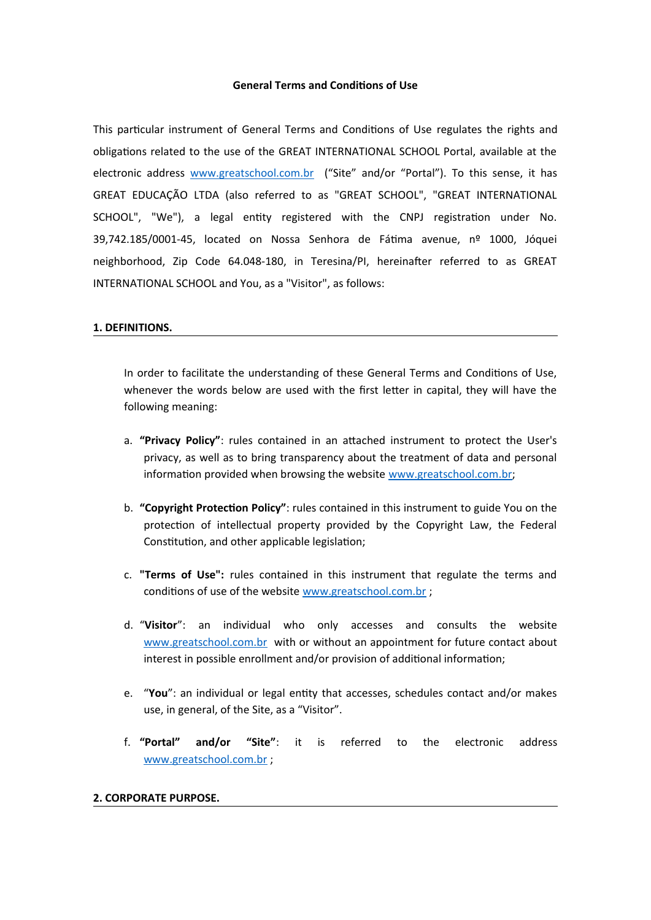### **General Terms and Conditions of Use**

This particular instrument of General Terms and Conditions of Use regulates the rights and obligations related to the use of the GREAT INTERNATIONAL SCHOOL Portal, available at the electronic address [www.greatschool.com.br](http://www.greatschool.com.br/) ("Site" and/or "Portal"). To this sense, it has GREAT EDUCAÇÃO LTDA (also referred to as "GREAT SCHOOL", "GREAT INTERNATIONAL SCHOOL", "We"), a legal entity registered with the CNPJ registration under No. 39,742.185/0001-45, located on Nossa Senhora de Fátima avenue, nº 1000, Jóquei neighborhood, Zip Code 64.048-180, in Teresina/PI, hereinafter referred to as GREAT INTERNATIONAL SCHOOL and You, as a "Visitor", as follows:

#### **1. DEFINITIONS.**

In order to facilitate the understanding of these General Terms and Conditions of Use, whenever the words below are used with the first letter in capital, they will have the following meaning:

- a. **"Privacy Policy"**: rules contained in an attached instrument to protect the User's privacy, as well as to bring transparency about the treatment of data and personal information provided when browsing the website [www.greatschool.com.br](http://www.greatschool.com.br/);
- b. **"Copyright Protection Policy"**: rules contained in this instrument to guide You on the protection of intellectual property provided by the Copyright Law, the Federal Constitution, and other applicable legislation;
- c. **"Terms of Use":** rules contained in this instrument that regulate the terms and conditions of use of the website [www.greatschool.com.br](http://www.greatschool.com.br/) ;
- d. "**Visitor**": an individual who only accesses and consults the website [www.greatschool.com.br](http://www.greatschool.com.br/) with or without an appointment for future contact about interest in possible enrollment and/or provision of additional information;
- e. "**You**": an individual or legal entity that accesses, schedules contact and/or makes use, in general, of the Site, as a "Visitor".
- f. **"Portal" and/or "Site"**: it is referred to the electronic address [www.greatschool.com.br](http://www.greatschool.com.br/) ;

### **2. CORPORATE PURPOSE.**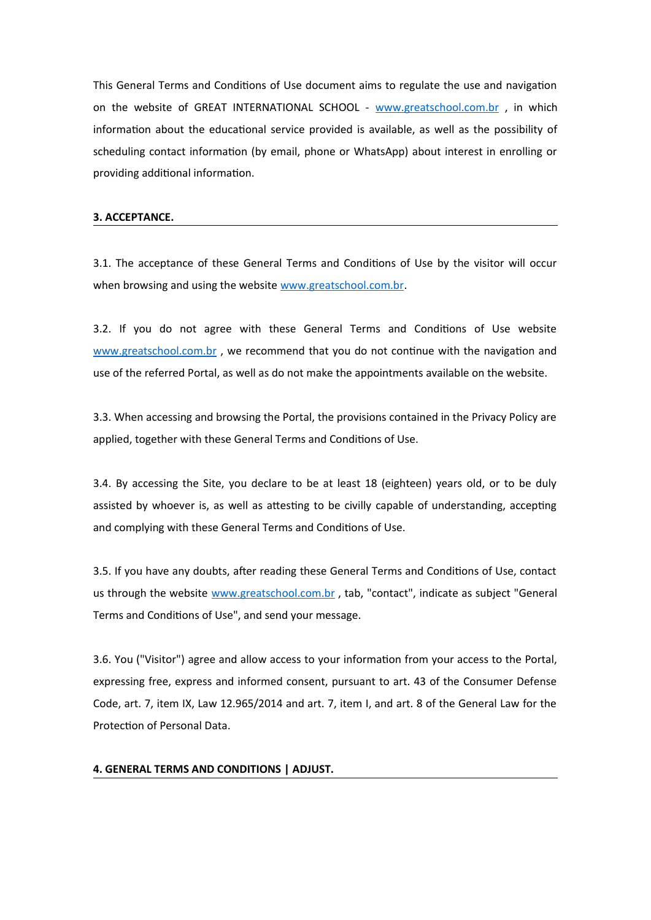This General Terms and Conditions of Use document aims to regulate the use and navigation on the website of GREAT INTERNATIONAL SCHOOL - [www.greatschool.com.br](http://www.greatschool.com.br/) , in which information about the educational service provided is available, as well as the possibility of scheduling contact information (by email, phone or WhatsApp) about interest in enrolling or providing additional information.

## **3. ACCEPTANCE.**

3.1. The acceptance of these General Terms and Conditions of Use by the visitor will occur when browsing and using the website [www.greatschool.com.br.](http://www.greatschool.com.br/)

3.2. If you do not agree with these General Terms and Conditions of Use website [www.greatschool.com.br](http://www.greatschool.com.br/), we recommend that you do not continue with the navigation and use of the referred Portal, as well as do not make the appointments available on the website.

3.3. When accessing and browsing the Portal, the provisions contained in the Privacy Policy are applied, together with these General Terms and Conditions of Use.

3.4. By accessing the Site, you declare to be at least 18 (eighteen) years old, or to be duly assisted by whoever is, as well as attesting to be civilly capable of understanding, accepting and complying with these General Terms and Conditions of Use.

3.5. If you have any doubts, after reading these General Terms and Conditions of Use, contact us through the website [www.greatschool.com.br](http://www.greatschool.com.br/) , tab, "contact", indicate as subject "General Terms and Conditions of Use", and send your message.

3.6. You ("Visitor") agree and allow access to your information from your access to the Portal, expressing free, express and informed consent, pursuant to art. 43 of the Consumer Defense Code, art. 7, item IX, Law 12.965/2014 and art. 7, item I, and art. 8 of the General Law for the Protection of Personal Data.

### **4. GENERAL TERMS AND CONDITIONS | ADJUST.**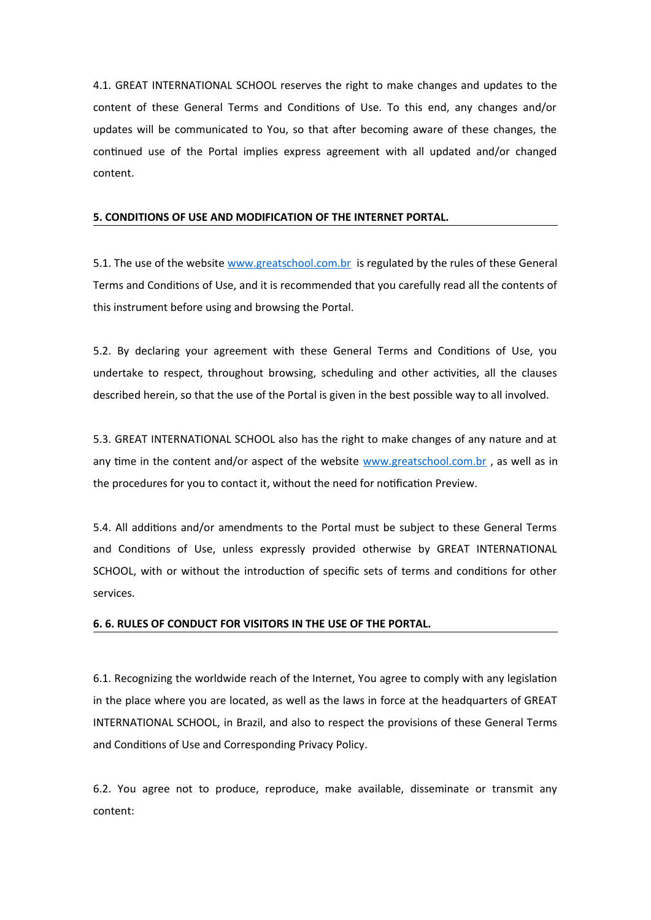4.1. GREAT INTERNATIONAL SCHOOL reserves the right to make changes and updates to the content of these General Terms and Conditions of Use. To this end, any changes and/or updates will be communicated to You, so that after becoming aware of these changes, the continued use of the Portal implies express agreement with all updated and/or changed content.

## **5. CONDITIONS OF USE AND MODIFICATION OF THE INTERNET PORTAL.**

5.1. The use of the website [www.greatschool.com.br](http://www.greatschool.com.br/) is regulated by the rules of these General Terms and Conditions of Use, and it is recommended that you carefully read all the contents of this instrument before using and browsing the Portal.

5.2. By declaring your agreement with these General Terms and Conditions of Use, you undertake to respect, throughout browsing, scheduling and other activities, all the clauses described herein, so that the use of the Portal is given in the best possible way to all involved.

5.3. GREAT INTERNATIONAL SCHOOL also has the right to make changes of any nature and at any time in the content and/or aspect of the website [www.greatschool.com.br](http://www.greatschool.com.br/), as well as in the procedures for you to contact it, without the need for notification Preview.

5.4. All additions and/or amendments to the Portal must be subject to these General Terms and Conditions of Use, unless expressly provided otherwise by GREAT INTERNATIONAL SCHOOL, with or without the introduction of specific sets of terms and conditions for other services.

#### **6. 6. RULES OF CONDUCT FOR VISITORS IN THE USE OF THE PORTAL.**

6.1. Recognizing the worldwide reach of the Internet, You agree to comply with any legislation in the place where you are located, as well as the laws in force at the headquarters of GREAT INTERNATIONAL SCHOOL, in Brazil, and also to respect the provisions of these General Terms and Conditions of Use and Corresponding Privacy Policy.

6.2. You agree not to produce, reproduce, make available, disseminate or transmit any content: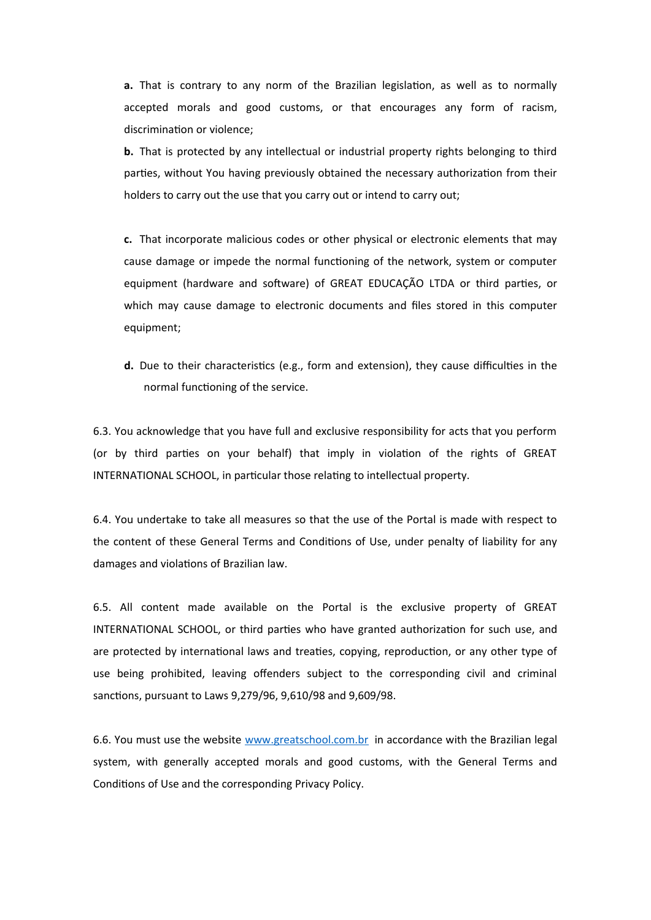**a.** That is contrary to any norm of the Brazilian legislation, as well as to normally accepted morals and good customs, or that encourages any form of racism, discrimination or violence;

**b.** That is protected by any intellectual or industrial property rights belonging to third parties, without You having previously obtained the necessary authorization from their holders to carry out the use that you carry out or intend to carry out;

**c.** That incorporate malicious codes or other physical or electronic elements that may cause damage or impede the normal functioning of the network, system or computer equipment (hardware and software) of GREAT EDUCAÇÃO LTDA or third parties, or which may cause damage to electronic documents and files stored in this computer equipment;

**d.** Due to their characteristics (e.g., form and extension), they cause difficulties in the normal functioning of the service.

6.3. You acknowledge that you have full and exclusive responsibility for acts that you perform (or by third parties on your behalf) that imply in violation of the rights of GREAT INTERNATIONAL SCHOOL, in particular those relating to intellectual property.

6.4. You undertake to take all measures so that the use of the Portal is made with respect to the content of these General Terms and Conditions of Use, under penalty of liability for any damages and violations of Brazilian law.

6.5. All content made available on the Portal is the exclusive property of GREAT INTERNATIONAL SCHOOL, or third parties who have granted authorization for such use, and are protected by international laws and treaties, copying, reproduction, or any other type of use being prohibited, leaving offenders subject to the corresponding civil and criminal sanctions, pursuant to Laws 9,279/96, 9,610/98 and 9,609/98.

6.6. You must use the website [www.greatschool.com.br](http://www.greatschool.com.br/) in accordance with the Brazilian legal system, with generally accepted morals and good customs, with the General Terms and Conditions of Use and the corresponding Privacy Policy.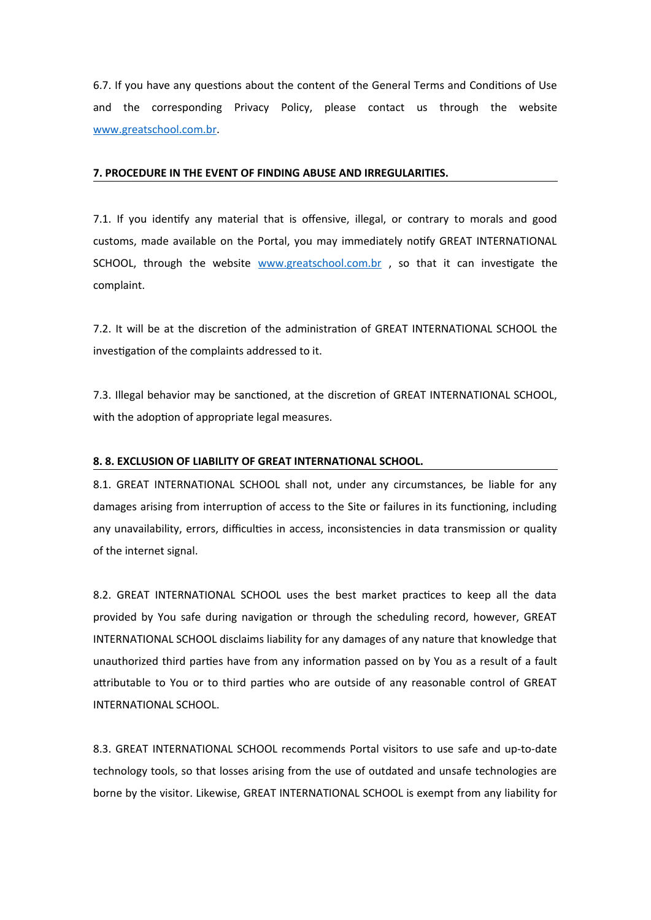6.7. If you have any questions about the content of the General Terms and Conditions of Use and the corresponding Privacy Policy, please contact us through the website [www.greatschool.com.br](http://www.greatschool.com.br/).

### **7. PROCEDURE IN THE EVENT OF FINDING ABUSE AND IRREGULARITIES.**

7.1. If you identify any material that is offensive, illegal, or contrary to morals and good customs, made available on the Portal, you may immediately notify GREAT INTERNATIONAL SCHOOL, through the website [www.greatschool.com.br](http://www.greatschool.com.br/), so that it can investigate the complaint.

7.2. It will be at the discretion of the administration of GREAT INTERNATIONAL SCHOOL the investigation of the complaints addressed to it.

7.3. Illegal behavior may be sanctioned, at the discretion of GREAT INTERNATIONAL SCHOOL, with the adoption of appropriate legal measures.

# **8. 8. EXCLUSION OF LIABILITY OF GREAT INTERNATIONAL SCHOOL.**

8.1. GREAT INTERNATIONAL SCHOOL shall not, under any circumstances, be liable for any damages arising from interruption of access to the Site or failures in its functioning, including any unavailability, errors, difficulties in access, inconsistencies in data transmission or quality of the internet signal.

8.2. GREAT INTERNATIONAL SCHOOL uses the best market practices to keep all the data provided by You safe during navigation or through the scheduling record, however, GREAT INTERNATIONAL SCHOOL disclaims liability for any damages of any nature that knowledge that unauthorized third parties have from any information passed on by You as a result of a fault attributable to You or to third parties who are outside of any reasonable control of GREAT INTERNATIONAL SCHOOL.

8.3. GREAT INTERNATIONAL SCHOOL recommends Portal visitors to use safe and up-to-date technology tools, so that losses arising from the use of outdated and unsafe technologies are borne by the visitor. Likewise, GREAT INTERNATIONAL SCHOOL is exempt from any liability for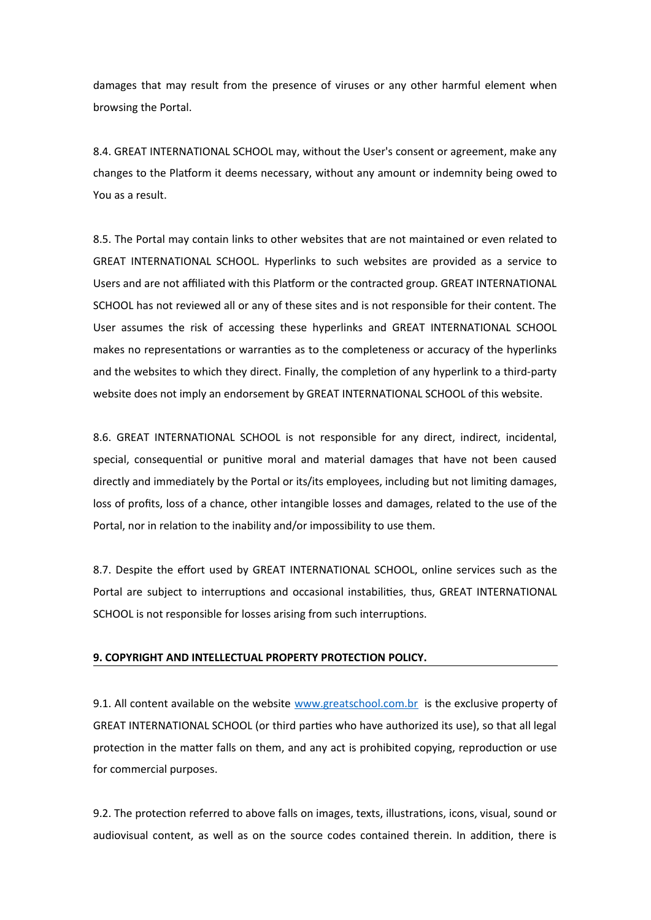damages that may result from the presence of viruses or any other harmful element when browsing the Portal.

8.4. GREAT INTERNATIONAL SCHOOL may, without the User's consent or agreement, make any changes to the Platform it deems necessary, without any amount or indemnity being owed to You as a result.

8.5. The Portal may contain links to other websites that are not maintained or even related to GREAT INTERNATIONAL SCHOOL. Hyperlinks to such websites are provided as a service to Users and are not affiliated with this Platform or the contracted group. GREAT INTERNATIONAL SCHOOL has not reviewed all or any of these sites and is not responsible for their content. The User assumes the risk of accessing these hyperlinks and GREAT INTERNATIONAL SCHOOL makes no representations or warranties as to the completeness or accuracy of the hyperlinks and the websites to which they direct. Finally, the completion of any hyperlink to a third-party website does not imply an endorsement by GREAT INTERNATIONAL SCHOOL of this website.

8.6. GREAT INTERNATIONAL SCHOOL is not responsible for any direct, indirect, incidental, special, consequential or punitive moral and material damages that have not been caused directly and immediately by the Portal or its/its employees, including but not limiting damages, loss of profits, loss of a chance, other intangible losses and damages, related to the use of the Portal, nor in relation to the inability and/or impossibility to use them.

8.7. Despite the effort used by GREAT INTERNATIONAL SCHOOL, online services such as the Portal are subject to interruptions and occasional instabilities, thus, GREAT INTERNATIONAL SCHOOL is not responsible for losses arising from such interruptions.

### **9. COPYRIGHT AND INTELLECTUAL PROPERTY PROTECTION POLICY.**

9.1. All content available on the website [www.greatschool.com.br](http://www.greatschool.com.br/) is the exclusive property of GREAT INTERNATIONAL SCHOOL (or third parties who have authorized its use), so that all legal protection in the matter falls on them, and any act is prohibited copying, reproduction or use for commercial purposes.

9.2. The protection referred to above falls on images, texts, illustrations, icons, visual, sound or audiovisual content, as well as on the source codes contained therein. In addition, there is